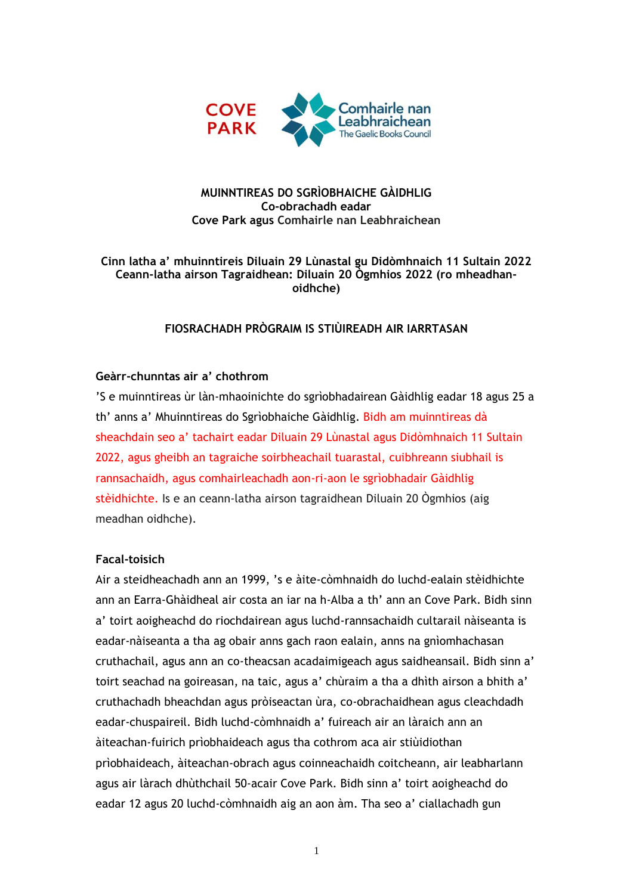

#### **MUINNTIREAS DO SGRÌOBHAICHE GÀIDHLIG Co-obrachadh eadar Cove Park agus Comhairle nan Leabhraichean**

#### **Cinn latha a' mhuinntireis Diluain 29 Lùnastal gu Didòmhnaich 11 Sultain 2022 Ceann-latha airson Tagraidhean: Diluain 20 Ògmhios 2022 (ro mheadhanoidhche)**

#### **FIOSRACHADH PRÒGRAIM IS STIÙIREADH AIR IARRTASAN**

#### **Geàrr-chunntas air a' chothrom**

'S e muinntireas ùr làn-mhaoinichte do sgrìobhadairean Gàidhlig eadar 18 agus 25 a th' anns a' Mhuinntireas do Sgrìobhaiche Gàidhlig. Bidh am muinntireas dà sheachdain seo a' tachairt eadar Diluain 29 Lùnastal agus Didòmhnaich 11 Sultain 2022, agus gheibh an tagraiche soirbheachail tuarastal, cuibhreann siubhail is rannsachaidh, agus comhairleachadh aon-ri-aon le sgrìobhadair Gàidhlig stèidhichte. Is e an ceann-latha airson tagraidhean Diluain 20 Ògmhios (aig meadhan oidhche).

#### **Facal-toisich**

Air a steidheachadh ann an 1999, 's e àite-còmhnaidh do luchd-ealain stèidhichte ann an Earra-Ghàidheal air costa an iar na h-Alba a th' ann an Cove Park. Bidh sinn a' toirt aoigheachd do riochdairean agus luchd-rannsachaidh cultarail nàiseanta is eadar-nàiseanta a tha ag obair anns gach raon ealain, anns na gnìomhachasan cruthachail, agus ann an co-theacsan acadaimigeach agus saidheansail. Bidh sinn a' toirt seachad na goireasan, na taic, agus a' chùraim a tha a dhìth airson a bhith a' cruthachadh bheachdan agus pròiseactan ùra, co-obrachaidhean agus cleachdadh eadar-chuspaireil. Bidh luchd-còmhnaidh a' fuireach air an làraich ann an àiteachan-fuirich prìobhaideach agus tha cothrom aca air stiùidiothan prìobhaideach, àiteachan-obrach agus coinneachaidh coitcheann, air leabharlann agus air làrach dhùthchail 50-acair Cove Park. Bidh sinn a' toirt aoigheachd do eadar 12 agus 20 luchd-còmhnaidh aig an aon àm. Tha seo a' ciallachadh gun

1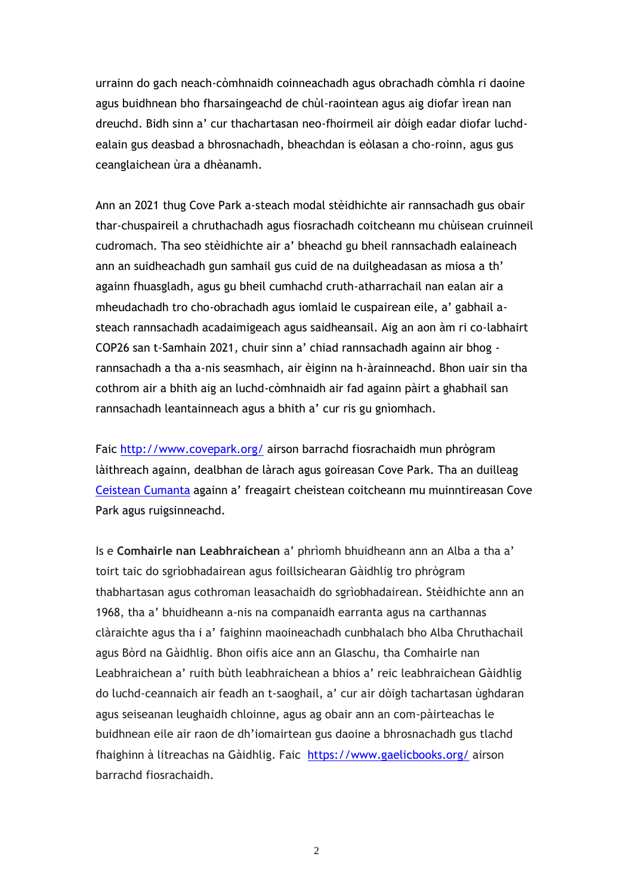urrainn do gach neach-còmhnaidh coinneachadh agus obrachadh còmhla ri daoine agus buidhnean bho fharsaingeachd de chùl-raointean agus aig diofar ìrean nan dreuchd. Bidh sinn a' cur thachartasan neo-fhoirmeil air dòigh eadar diofar luchdealain gus deasbad a bhrosnachadh, bheachdan is eòlasan a cho-roinn, agus gus ceanglaichean ùra a dhèanamh.

Ann an 2021 thug Cove Park a-steach modal stèidhichte air rannsachadh gus obair thar-chuspaireil a chruthachadh agus fiosrachadh coitcheann mu chùisean cruinneil cudromach. Tha seo stèidhichte air a' bheachd gu bheil rannsachadh ealaineach ann an suidheachadh gun samhail gus cuid de na duilgheadasan as miosa a th' againn fhuasgladh, agus gu bheil cumhachd cruth-atharrachail nan ealan air a mheudachadh tro cho-obrachadh agus iomlaid le cuspairean eile, a' gabhail asteach rannsachadh acadaimigeach agus saidheansail. Aig an aon àm ri co-labhairt COP26 san t-Samhain 2021, chuir sinn a' chiad rannsachadh againn air bhog rannsachadh a tha a-nis seasmhach, air èiginn na h-àrainneachd. Bhon uair sin tha cothrom air a bhith aig an luchd-còmhnaidh air fad againn pàirt a ghabhail san rannsachadh leantainneach agus a bhith a' cur ris gu gnìomhach.

Faic <http://www.covepark.org/> airson barrachd fiosrachaidh mun phrògram làithreach againn, dealbhan de làrach agus goireasan Cove Park. Tha an duilleag [Ceistean Cumanta](https://covepark.org/residencies-faq/) againn a' freagairt cheistean coitcheann mu muinntireasan Cove Park agus ruigsinneachd.

Is e **Comhairle nan Leabhraichean** a' phrìomh bhuidheann ann an Alba a tha a' toirt taic do sgrìobhadairean agus foillsichearan Gàidhlig tro phrògram thabhartasan agus cothroman leasachaidh do sgrìobhadairean. Stèidhichte ann an 1968, tha a' bhuidheann a-nis na companaidh earranta agus na carthannas clàraichte agus tha i a' faighinn maoineachadh cunbhalach bho Alba Chruthachail agus Bòrd na Gàidhlig. Bhon oifis aice ann an Glaschu, tha Comhairle nan Leabhraichean a' ruith bùth leabhraichean a bhios a' reic leabhraichean Gàidhlig do luchd-ceannaich air feadh an t-saoghail, a' cur air dòigh tachartasan ùghdaran agus seiseanan leughaidh chloinne, agus ag obair ann an com-pàirteachas le buidhnean eile air raon de dh'iomairtean gus daoine a bhrosnachadh gus tlachd fhaighinn à litreachas na Gàidhlig. Faic <https://www.gaelicbooks.org/> airson barrachd fiosrachaidh.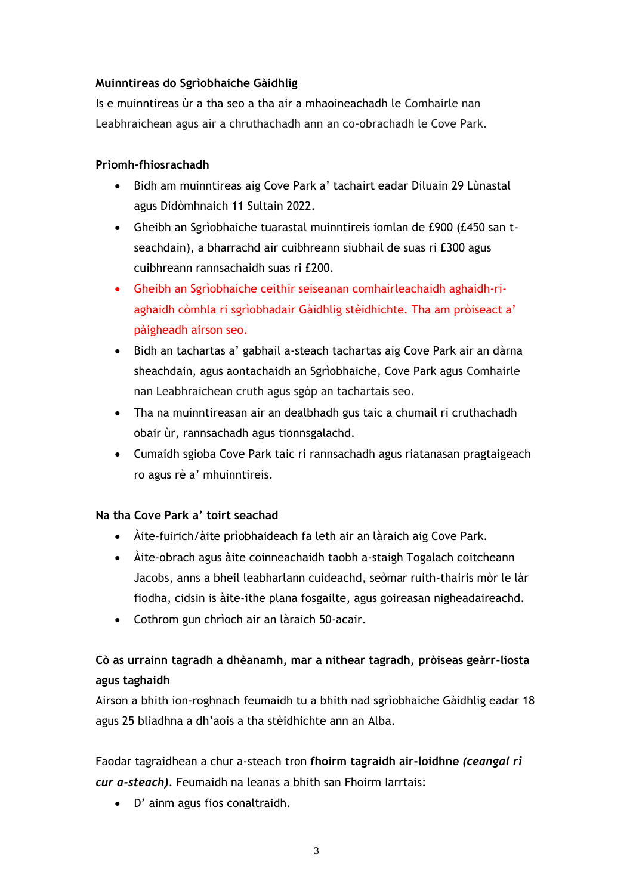## **Muinntireas do Sgrìobhaiche Gàidhlig**

Is e muinntireas ùr a tha seo a tha air a mhaoineachadh le Comhairle nan Leabhraichean agus air a chruthachadh ann an co-obrachadh le Cove Park.

## **Prìomh-fhiosrachadh**

- Bidh am muinntireas aig Cove Park a' tachairt eadar Diluain 29 Lùnastal agus Didòmhnaich 11 Sultain 2022.
- Gheibh an Sgrìobhaiche tuarastal muinntireis iomlan de £900 (£450 san tseachdain), a bharrachd air cuibhreann siubhail de suas ri £300 agus cuibhreann rannsachaidh suas ri £200.
- Gheibh an Sgrìobhaiche ceithir seiseanan comhairleachaidh aghaidh-riaghaidh còmhla ri sgrìobhadair Gàidhlig stèidhichte. Tha am pròiseact a' pàigheadh airson seo.
- Bidh an tachartas a' gabhail a-steach tachartas aig Cove Park air an dàrna sheachdain, agus aontachaidh an Sgrìobhaiche, Cove Park agus Comhairle nan Leabhraichean cruth agus sgòp an tachartais seo.
- Tha na muinntireasan air an dealbhadh gus taic a chumail ri cruthachadh obair ùr, rannsachadh agus tionnsgalachd.
- Cumaidh sgioba Cove Park taic ri rannsachadh agus riatanasan pragtaigeach ro agus rè a' mhuinntireis.

# **Na tha Cove Park a' toirt seachad**

- Àite-fuirich/àite prìobhaideach fa leth air an làraich aig Cove Park.
- Àite-obrach agus àite coinneachaidh taobh a-staigh Togalach coitcheann Jacobs, anns a bheil leabharlann cuideachd, seòmar ruith-thairis mòr le làr fiodha, cidsin is àite-ithe plana fosgailte, agus goireasan nigheadaireachd.
- Cothrom gun chrìoch air an làraich 50-acair.

# **Cò as urrainn tagradh a dhèanamh, mar a nithear tagradh, pròiseas geàrr-liosta agus taghaidh**

Airson a bhith ion-roghnach feumaidh tu a bhith nad sgrìobhaiche Gàidhlig eadar 18 agus 25 bliadhna a dh'aois a tha stèidhichte ann an Alba.

Faodar tagraidhean a chur a-steach tron **fhoirm tagraidh air-loidhne** *(ceangal ri cur a-steach)*. Feumaidh na leanas a bhith san Fhoirm Iarrtais:

• D' ainm agus fios conaltraidh.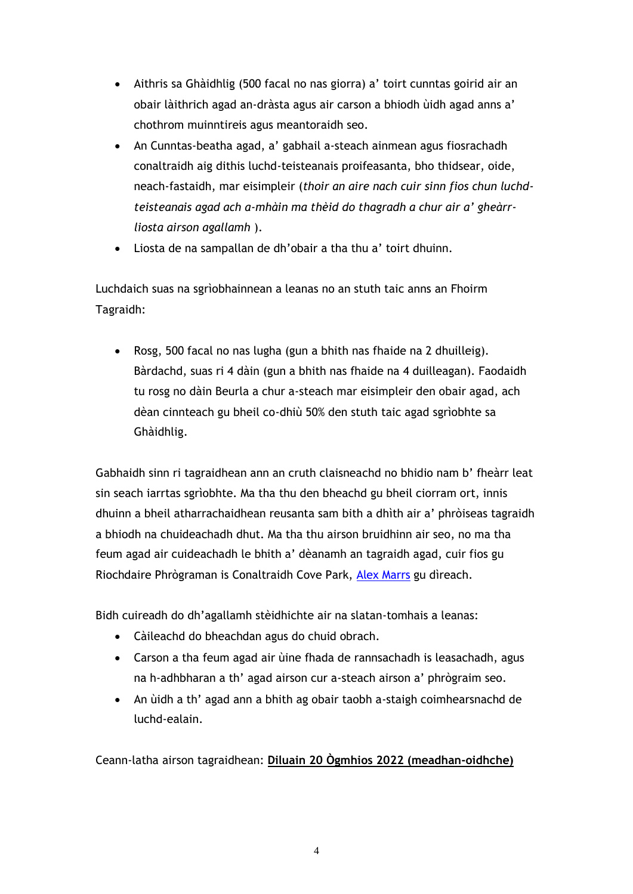- Aithris sa Ghàidhlig (500 facal no nas giorra) a' toirt cunntas goirid air an obair làithrich agad an-dràsta agus air carson a bhiodh ùidh agad anns a' chothrom muinntireis agus meantoraidh seo.
- An Cunntas-beatha agad, a' gabhail a-steach ainmean agus fiosrachadh conaltraidh aig dithis luchd-teisteanais proifeasanta, bho thidsear, oide, neach-fastaidh, mar eisimpleir (*thoir an aire nach cuir sinn fios chun luchdteisteanais agad ach a-mhàin ma thèid do thagradh a chur air a' gheàrrliosta airson agallamh* ).
- Liosta de na sampallan de dh'obair a tha thu a' toirt dhuinn.

Luchdaich suas na sgrìobhainnean a leanas no an stuth taic anns an Fhoirm Tagraidh:

• Rosg, 500 facal no nas lugha (gun a bhith nas fhaide na 2 dhuilleig). Bàrdachd, suas ri 4 dàin (gun a bhith nas fhaide na 4 duilleagan). Faodaidh tu rosg no dàin Beurla a chur a-steach mar eisimpleir den obair agad, ach dèan cinnteach gu bheil co-dhiù 50% den stuth taic agad sgrìobhte sa Ghàidhlig.

Gabhaidh sinn ri tagraidhean ann an cruth claisneachd no bhidio nam b' fheàrr leat sin seach iarrtas sgrìobhte. Ma tha thu den bheachd gu bheil ciorram ort, innis dhuinn a bheil atharrachaidhean reusanta sam bith a dhìth air a' phròiseas tagraidh a bhiodh na chuideachadh dhut. Ma tha thu airson bruidhinn air seo, no ma tha feum agad air cuideachadh le bhith a' dèanamh an tagraidh agad, cuir fios gu Riochdaire Phrògraman is Conaltraidh Cove Park, [Alex Marrs](mailto:mailto:alexmarrs) gu dìreach.

Bidh cuireadh do dh'agallamh stèidhichte air na slatan-tomhais a leanas:

- Càileachd do bheachdan agus do chuid obrach.
- Carson a tha feum agad air ùine fhada de rannsachadh is leasachadh, agus na h-adhbharan a th' agad airson cur a-steach airson a' phrògraim seo.
- An ùidh a th' agad ann a bhith ag obair taobh a-staigh coimhearsnachd de luchd-ealain.

Ceann-latha airson tagraidhean: **Diluain 20 Ògmhios 2022 (meadhan-oidhche)**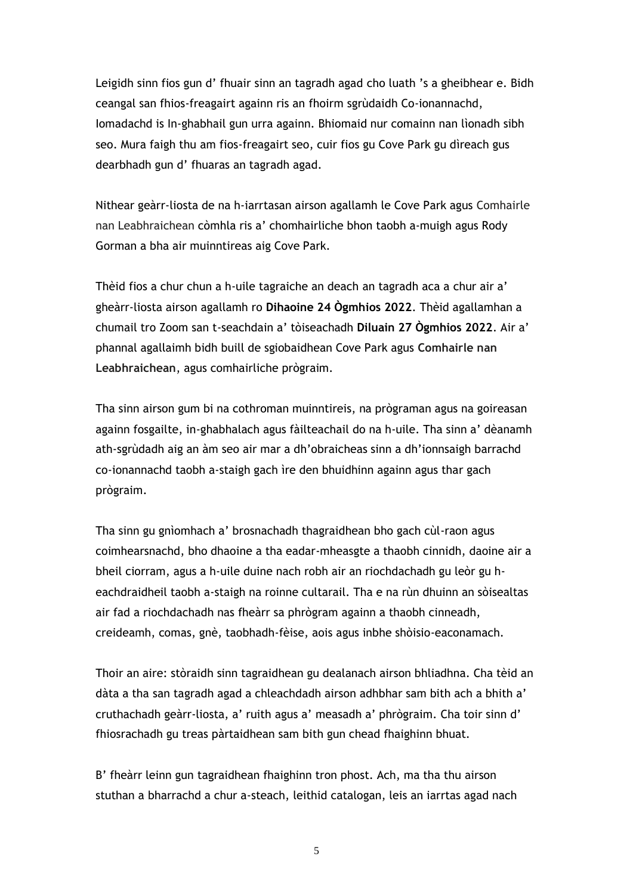Leigidh sinn fios gun d' fhuair sinn an tagradh agad cho luath 's a gheibhear e. Bidh ceangal san fhios-freagairt againn ris an fhoirm sgrùdaidh Co-ionannachd, Iomadachd is In-ghabhail gun urra againn. Bhiomaid nur comainn nan lìonadh sibh seo. Mura faigh thu am fios-freagairt seo, cuir fios gu Cove Park gu dìreach gus dearbhadh gun d' fhuaras an tagradh agad.

Nithear geàrr-liosta de na h-iarrtasan airson agallamh le Cove Park agus Comhairle nan Leabhraichean còmhla ris a' chomhairliche bhon taobh a-muigh agus Rody Gorman a bha air muinntireas aig Cove Park.

Thèid fios a chur chun a h-uile tagraiche an deach an tagradh aca a chur air a' gheàrr-liosta airson agallamh ro **Dihaoine 24 Ògmhios 2022**. Thèid agallamhan a chumail tro Zoom san t-seachdain a' tòiseachadh **Diluain 27 Ògmhios 2022**. Air a' phannal agallaimh bidh buill de sgiobaidhean Cove Park agus **Comhairle nan Leabhraichean**, agus comhairliche prògraim.

Tha sinn airson gum bi na cothroman muinntireis, na prògraman agus na goireasan againn fosgailte, in-ghabhalach agus fàilteachail do na h-uile. Tha sinn a' dèanamh ath-sgrùdadh aig an àm seo air mar a dh'obraicheas sinn a dh'ionnsaigh barrachd co-ionannachd taobh a-staigh gach ìre den bhuidhinn againn agus thar gach prògraim.

Tha sinn gu gnìomhach a' brosnachadh thagraidhean bho gach cùl-raon agus coimhearsnachd, bho dhaoine a tha eadar-mheasgte a thaobh cinnidh, daoine air a bheil ciorram, agus a h-uile duine nach robh air an riochdachadh gu leòr gu heachdraidheil taobh a-staigh na roinne cultarail. Tha e na rùn dhuinn an sòisealtas air fad a riochdachadh nas fheàrr sa phrògram againn a thaobh cinneadh, creideamh, comas, gnè, taobhadh-fèise, aois agus inbhe shòisio-eaconamach.

Thoir an aire: stòraidh sinn tagraidhean gu dealanach airson bhliadhna. Cha tèid an dàta a tha san tagradh agad a chleachdadh airson adhbhar sam bith ach a bhith a' cruthachadh geàrr-liosta, a' ruith agus a' measadh a' phrògraim. Cha toir sinn d' fhiosrachadh gu treas pàrtaidhean sam bith gun chead fhaighinn bhuat.

B' fheàrr leinn gun tagraidhean fhaighinn tron phost. Ach, ma tha thu airson stuthan a bharrachd a chur a-steach, leithid catalogan, leis an iarrtas agad nach